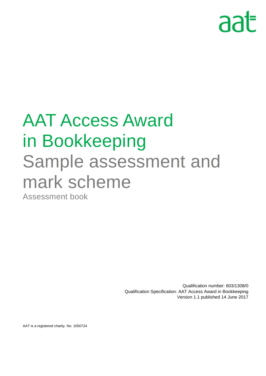# aat

## AAT Access Award in Bookkeeping Sample assessment and mark scheme Assessment book

Qualification number: 603/1308/0 Qualification Specification: AAT Access Award in Bookkeeping Version 1.1 published 14 June 2017

AAT is a registered charity. No. 1050724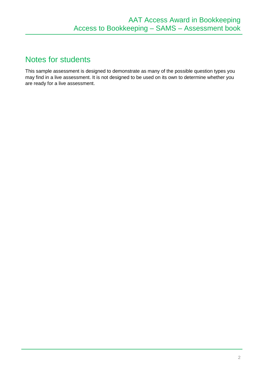## Notes for students

This sample assessment is designed to demonstrate as many of the possible question types you may find in a live assessment. It is not designed to be used on its own to determine whether you are ready for a live assessment.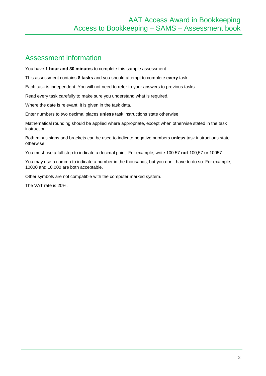### Assessment information

You have **1 hour and 30 minutes** to complete this sample assessment.

This assessment contains **8 tasks** and you should attempt to complete **every** task.

Each task is independent. You will not need to refer to your answers to previous tasks.

Read every task carefully to make sure you understand what is required.

Where the date is relevant, it is given in the task data.

Enter numbers to two decimal places **unless** task instructions state otherwise.

Mathematical rounding should be applied where appropriate, except when otherwise stated in the task instruction.

Both minus signs and brackets can be used to indicate negative numbers **unless** task instructions state otherwise.

You must use a full stop to indicate a decimal point. For example, write 100.57 **not** 100,57 or 10057.

You may use a comma to indicate a number in the thousands, but you don't have to do so. For example, 10000 and 10,000 are both acceptable.

Other symbols are not compatible with the computer marked system.

The VAT rate is 20%.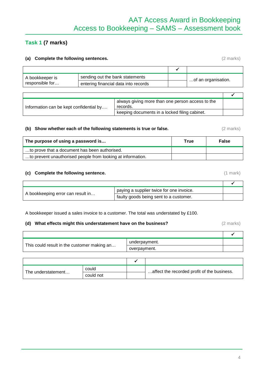## AAT Access Award in Bookkeeping Access to Bookkeeping – SAMS – Assessment book

#### **Task 1 (7 marks)**

#### **(a) Complete the following sentences.** (2 marks)

| A bookkeeper is | sending out the bank statements      | of an organisation. |  |
|-----------------|--------------------------------------|---------------------|--|
| responsible for | entering financial data into records |                     |  |

| Information can be kept confidential by | always giving more than one person access to the<br>records. |  |
|-----------------------------------------|--------------------------------------------------------------|--|
|                                         | keeping documents in a locked filing cabinet.                |  |

#### **(b) Show whether each of the following statements is true or false.** (2 marks)

| The purpose of using a password is                          | True | <b>False</b> |
|-------------------------------------------------------------|------|--------------|
| to prove that a document has been authorised.               |      |              |
| to prevent unauthorised people from looking at information. |      |              |

#### **(c) Complete the following sentence.** (1 mark)

 $\mathsf{r}$ 

|                                   | paying a supplier twice for one invoice. |  |
|-----------------------------------|------------------------------------------|--|
| A bookkeeping error can result in | faulty goods being sent to a customer.   |  |

A bookkeeper issued a sales invoice to a customer. The total was understated by £100.

#### **(d) What effects might this understatement have on the business?** (2 marks)

|                                             | underpayment. |  |
|---------------------------------------------|---------------|--|
| This could result in the customer making an | overpayment.  |  |

|                    | could     | affect the recorded profit of the business. |
|--------------------|-----------|---------------------------------------------|
| The understatement | could not |                                             |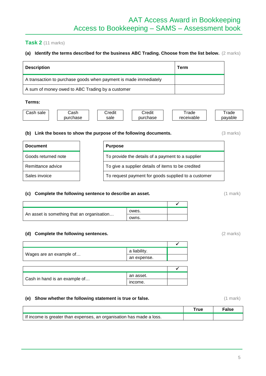#### **Task 2** (11 marks)

#### **(a) Identify the terms described for the business ABC Trading. Choose from the list below.** (2 marks)

| <b>Description</b>                                               | Term |
|------------------------------------------------------------------|------|
| A transaction to purchase goods when payment is made immediately |      |
| A sum of money owed to ABC Trading by a customer                 |      |

#### **Terms:**

| sale<br>شcash | .ashذ    | ∶redıt | .<br>Credit | rade              | rade    |
|---------------|----------|--------|-------------|-------------------|---------|
|               | purchase | sale   | purchase    | <i>recelvable</i> | pavable |

#### **(b) Link the boxes to show the purpose of the following documents.** (3 marks)

| <b>Document</b>     | <b>Purpose</b>                                      |
|---------------------|-----------------------------------------------------|
| Goods returned note | To provide the details of a payment to a supplier   |
| Remittance advice   | To give a supplier details of items to be credited  |
| Sales invoice       | To request payment for goods supplied to a customer |

#### **(c) Complete the following sentence to describe an asset.** (1 mark)

|                                            | owes. |  |
|--------------------------------------------|-------|--|
| An asset is something that an organisation | owns. |  |

#### **(d) Complete the following sentences.** (2 marks)

|                                            | a liability. |  |
|--------------------------------------------|--------------|--|
| Wages are an example of                    | an expense.  |  |
|                                            |              |  |
|                                            |              |  |
| an asset.<br>Cash in hand is an example of |              |  |
|                                            |              |  |

#### **(e)** Show whether the following statement is true or false. (1 mark) (1 mark)

|                                                                      | ™rue | ™alse |
|----------------------------------------------------------------------|------|-------|
| If income is greater than expenses, an organisation has made a loss. |      |       |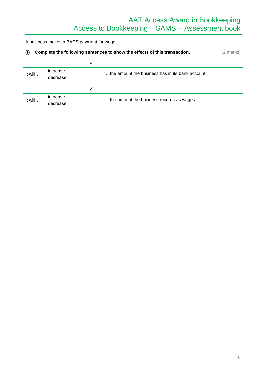## AAT Access Award in Bookkeeping Access to Bookkeeping – SAMS – Assessment book

A business makes a BACS payment for wages.

#### **(f) Complete the following sentences to show the effects of this transaction.** (2 marks)

| It will | increase | the amount the business has in its bank account. |
|---------|----------|--------------------------------------------------|
|         | decrease |                                                  |
|         |          |                                                  |
|         |          |                                                  |
| It will | increase | the amount the business records as wages.        |
|         | decrease |                                                  |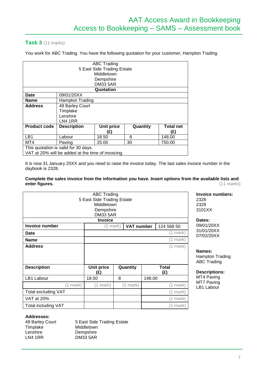#### **Task 3** (11 marks)

You work for ABC Trading. You have the following quotation for your customer, Hampton Trading.

| <b>ABC Trading</b>                   |                                                    |                 |          |                  |  |  |  |  |
|--------------------------------------|----------------------------------------------------|-----------------|----------|------------------|--|--|--|--|
|                                      | 5 East Side Trading Estate                         |                 |          |                  |  |  |  |  |
|                                      |                                                    | Middletown      |          |                  |  |  |  |  |
|                                      |                                                    | Dempshire       |          |                  |  |  |  |  |
|                                      |                                                    | <b>DM33 5AR</b> |          |                  |  |  |  |  |
|                                      |                                                    | Quotation       |          |                  |  |  |  |  |
| Date                                 | 09/01/20XX                                         |                 |          |                  |  |  |  |  |
| <b>Name</b>                          | Hampton Trading                                    |                 |          |                  |  |  |  |  |
| <b>Address</b>                       | 49 Barley Court                                    |                 |          |                  |  |  |  |  |
|                                      | Timplake                                           |                 |          |                  |  |  |  |  |
|                                      | Lenshire                                           |                 |          |                  |  |  |  |  |
|                                      | LN4 1RR                                            |                 |          |                  |  |  |  |  |
| <b>Product code</b>                  | <b>Description</b>                                 | Unit price      | Quantity | <b>Total net</b> |  |  |  |  |
|                                      |                                                    | (£)             |          | (£)              |  |  |  |  |
| LB1                                  | Labour                                             | 18.50           | 8        | 148.00           |  |  |  |  |
| MT4                                  | 30<br>750.00<br>25.00<br>Paving                    |                 |          |                  |  |  |  |  |
| This quotation is valid for 30 days. |                                                    |                 |          |                  |  |  |  |  |
|                                      | VAT at 20% will be added at the time of invoicing. |                 |          |                  |  |  |  |  |

It is now 31 January 20XX and you need to raise the invoice today. The last sales invoice number in the daybook is 2328.

**Complete the sales invoice from the information you have. Insert options from the available lists and**  enter figures.

|                            | <b>ABC Trading</b><br>5 East Side Trading Estate<br>Middletown<br>Dempshire<br><b>DM33 5AR</b><br><b>Invoice</b> |          |                   |                     | <b>Invoic</b><br>2328<br>2329<br>3101X<br>Dates: |
|----------------------------|------------------------------------------------------------------------------------------------------------------|----------|-------------------|---------------------|--------------------------------------------------|
| <b>Invoice number</b>      | $(1$ mark $)$                                                                                                    |          | <b>VAT number</b> | 124 568 50          | 09/01/2                                          |
| <b>Date</b>                |                                                                                                                  |          |                   | (1 mark)            | 31/01/2<br>07/02/2                               |
| <b>Name</b>                |                                                                                                                  |          |                   | $(1$ mark $)$       |                                                  |
| <b>Address</b>             |                                                                                                                  |          |                   | $(1$ mark)          | <b>Names</b><br>Hampt<br>ABC T                   |
| <b>Description</b>         | Unit price<br>(£)                                                                                                | Quantity |                   | <b>Total</b><br>(E) | <b>Descri</b>                                    |
| LB1 Labour                 | 18.50                                                                                                            | 8        | 148.00            |                     | MT4 P                                            |
| (1 mark)                   | (1 mark)                                                                                                         | (1 mark) |                   | (1 mark)            | MT7 P<br>LB1 La                                  |
| Total excluding VAT        |                                                                                                                  |          |                   | (1 mark)            |                                                  |
| <b>VAT at 20%</b>          |                                                                                                                  |          |                   | (1 mark)            |                                                  |
| <b>Total including VAT</b> |                                                                                                                  |          |                   | (1 mark)            |                                                  |

**Invoice numbers:** 2328 2329 3101XX

09/01/20XX 31/01/20XX 07/02/20XX

**Names:**

Hampton Trading ABC Trading

**Descriptions:** MT4 Paving

MT7 Paving LB1 Labour

#### **Addresses:**

49 Barley Court **Timplake** Lenshire LN4 1RR 5 East Side Trading Estate **Middletown** Dempshire DM33 5AR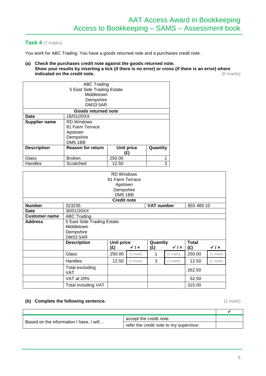#### **Task 4** (7 marks)

You work for ABC Trading. You have a goods returned note and a purchases credit note.

**(a) Check the purchases credit note against the goods returned note. Show your results by inserting a tick (if there is no error) or cross (if there is an error) where**  indicated on the credit note.

| <b>ABC Trading</b>         |                          |            |          |  |  |  |
|----------------------------|--------------------------|------------|----------|--|--|--|
| 5 East Side Trading Estate |                          |            |          |  |  |  |
|                            | Middletown               |            |          |  |  |  |
|                            | Dempshire                |            |          |  |  |  |
|                            | <b>DM33 5AR</b>          |            |          |  |  |  |
|                            | Goods returned note      |            |          |  |  |  |
| <b>Date</b>                | 18/01/20XX               |            |          |  |  |  |
| <b>Supplier name</b>       | <b>RD Windows</b>        |            |          |  |  |  |
|                            | 81 Farm Terrace          |            |          |  |  |  |
|                            | Apstown                  |            |          |  |  |  |
|                            | Dempshire                |            |          |  |  |  |
|                            | <b>DM5 1BB</b>           |            |          |  |  |  |
| <b>Description</b>         | <b>Reason for return</b> | Unit price | Quantity |  |  |  |
|                            |                          | (£)        |          |  |  |  |
| Glass                      | <b>Broken</b>            | 250.00     | 1        |  |  |  |
| Handles                    | Scratched                | 12.50      | 3        |  |  |  |

| <b>RD</b> Windows<br>81 Farm Terrace<br>Apstown<br>Dempshire<br><b>DM5 1BB</b> |                                                                          |                    |                         |                   |                         |            |                         |
|--------------------------------------------------------------------------------|--------------------------------------------------------------------------|--------------------|-------------------------|-------------------|-------------------------|------------|-------------------------|
|                                                                                |                                                                          | <b>Credit note</b> |                         |                   |                         |            |                         |
| <b>Number</b>                                                                  | 323235                                                                   |                    |                         | <b>VAT number</b> |                         | 855 469 10 |                         |
| <b>Date</b>                                                                    | 30/01/20XX                                                               |                    |                         |                   |                         |            |                         |
| <b>Customer name</b>                                                           | <b>ABC Trading</b>                                                       |                    |                         |                   |                         |            |                         |
| <b>Address</b>                                                                 | 5 East Side Trading Estate<br>Middletown<br>Dempshire<br><b>DM33 5AR</b> |                    |                         |                   |                         |            |                         |
|                                                                                | <b>Description</b>                                                       | <b>Unit price</b>  |                         | Quantity          |                         | Total      |                         |
|                                                                                |                                                                          | (E)                | $\checkmark$ / $\times$ | (E)               | $\checkmark$ / $\times$ | (E)        | $\checkmark$ / $\times$ |
|                                                                                | Glass                                                                    | 250.00             | (1 mark)                | 1                 | (1 mark)                | 250.00     | $(1$ mark $)$           |
|                                                                                | Handles                                                                  | 12.50              | (1 mark)                | 3                 | (1 mark)                | 12.50      | (1 mark)                |
|                                                                                | Total excluding<br><b>VAT</b>                                            |                    |                         |                   |                         | 262.50     |                         |
|                                                                                | VAT at 20%                                                               |                    |                         |                   |                         | 52.50      |                         |
|                                                                                | Total including VAT                                                      |                    |                         |                   |                         | 315.00     |                         |

#### **(b) Complete the following sentence.** (1 mark)

|                                         | accept the credit note.                 |  |
|-----------------------------------------|-----------------------------------------|--|
| Based on the information I have, I will | refer the credit note to my supervisor. |  |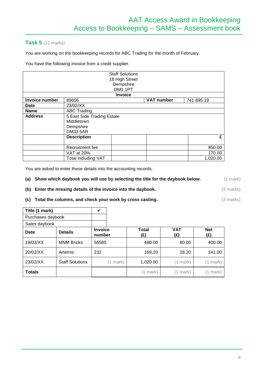#### **Task 5** (12 marks)

You are working on the bookkeeping records for ABC Trading for the month of February.

You have the following invoice from a credit supplier.

|                       |                            | <b>Staff Solutions</b> |                   |            |
|-----------------------|----------------------------|------------------------|-------------------|------------|
|                       |                            | 18 High Street         |                   |            |
|                       |                            | Dempshire              |                   |            |
|                       |                            | DM1 1PT                |                   |            |
|                       |                            | <b>Invoice</b>         |                   |            |
| <b>Invoice number</b> | 89656                      |                        | <b>VAT number</b> | 741 895 19 |
| <b>Date</b>           | 23/02/XX                   |                        |                   |            |
| <b>Name</b>           | <b>ABC Trading</b>         |                        |                   |            |
| <b>Address</b>        | 5 East Side Trading Estate |                        |                   |            |
|                       | Middletown                 |                        |                   |            |
|                       | Dempshire                  |                        |                   |            |
|                       | <b>DM33 5AR</b>            |                        |                   |            |
|                       | <b>Description</b>         |                        |                   | £          |
|                       |                            |                        |                   |            |
|                       | Recruitment fee            |                        |                   | 850.00     |
|                       | VAT at 20%                 |                        |                   | 170.00     |
|                       | Total including VAT        |                        |                   | 1,020.00   |

You are asked to enter these details into the accounting records.

|  | (a) Show which daybook you will use by selecting the title for the daybook below. | $(1$ mark) |
|--|-----------------------------------------------------------------------------------|------------|
|--|-----------------------------------------------------------------------------------|------------|

- **(b) Enter the missing details of the invoice into the daybook.** (3 marks)
- **(c) Total the columns, and check your work by cross casting. (3 marks) (3 marks)**

| Title (1 mark)    |                        |                          |                     |                   |                   |
|-------------------|------------------------|--------------------------|---------------------|-------------------|-------------------|
| Purchases daybook |                        |                          |                     |                   |                   |
| Sales daybook     |                        |                          |                     |                   |                   |
| Date              | <b>Details</b>         | <b>Invoice</b><br>number | <b>Total</b><br>(£) | <b>VAT</b><br>(£) | <b>Net</b><br>(E) |
| 19/02/XX          | <b>MNM Bricks</b>      | 56585                    | 480.00              | 80.00             | 400.00            |
| 20/02/XX          | Artemis                | 232                      | 169.20              | 28.20             | 141.00            |
| 23/02/XX          | <b>Staff Solutions</b> | (1 mark)                 | 1,020.00            | (1 mark)          | (1 mark)          |
| <b>Totals</b>     |                        |                          | (1 mark)            | (1 mark)          | mark)             |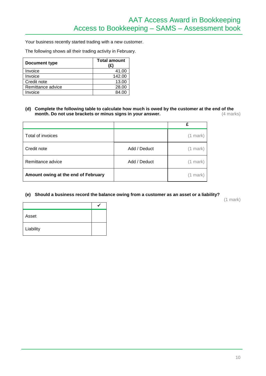Your business recently started trading with a new customer.

The following shows all their trading activity in February.

| <b>Document type</b> | <b>Total amount</b><br>'£ |
|----------------------|---------------------------|
| Invoice              | 41.00                     |
| Invoice              | 142.00                    |
| Credit note          | 13.00                     |
| Remittance advice    | 28.00                     |
| Invoice              | 84.00                     |

#### **(d) Complete the following table to calculate how much is owed by the customer at the end of the month. Do not use brackets or minus signs in your answer.** (4 marks)

| Total of invoices                   |              | $(1$ mark $)$ |
|-------------------------------------|--------------|---------------|
| Credit note                         | Add / Deduct | $(1$ mark $)$ |
| Remittance advice                   | Add / Deduct | (1 mark)      |
| Amount owing at the end of February |              | (1 mark)      |

#### **(e) Should a business record the balance owing from a customer as an asset or a liability?**

(1 mark)

| Asset     |  |
|-----------|--|
| Liability |  |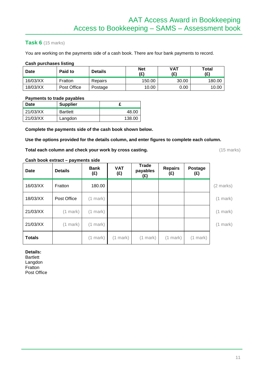#### **Task 6** (15 marks)

You are working on the payments side of a cash book. There are four bank payments to record.

#### **Cash purchases listing**

| <b>Date</b> | Paid to     | <b>Details</b> | <b>Net</b><br>(£) | <b>VAT</b><br>(£) | Total<br>(£) |
|-------------|-------------|----------------|-------------------|-------------------|--------------|
| 16/03/XX    | Fratton     | Repairs        | 150.00            | 30.00             | 180.00       |
| 18/03/XX    | Post Office | Postage        | 10.00             | 0.00              | 10.00        |

#### **Payments to trade payables**

| Date     | <b>Supplier</b> |        |
|----------|-----------------|--------|
| 21/03/XX | <b>Bartlett</b> | 48.00  |
| 21/03/XX | Langdon         | 138.00 |

**Complete the payments side of the cash book shown below.** 

**Use the options provided for the details column, and enter figures to complete each column.**

**Total each column and check your work by cross casting. 15 marks** (15 marks)

#### **Cash book extract – payments side**

| <b>Date</b>   | <b>Details</b> | <b>Bank</b><br>(£) | <b>VAT</b><br>(E) | <b>Trade</b><br>payables<br>(£) | <b>Repairs</b><br>(£) | Postage<br>(£) |                     |
|---------------|----------------|--------------------|-------------------|---------------------------------|-----------------------|----------------|---------------------|
| 16/03/XX      | Fratton        | 180.00             |                   |                                 |                       |                | $(2 \text{ marks})$ |
| 18/03/XX      | Post Office    | $(1$ mark $)$      |                   |                                 |                       |                | $(1$ mark $)$       |
| 21/03/XX      | $(1$ mark)     | $(1$ mark $)$      |                   |                                 |                       |                | $(1$ mark $)$       |
| 21/03/XX      | $(1$ mark)     | $(1$ mark $)$      |                   |                                 |                       |                | (1 mark)            |
| <b>Totals</b> |                | $(1$ mark $)$      | $(1$ mark)        | (1 mark)                        | $(1$ mark $)$         | $(1$ mark $)$  |                     |

#### **Details:**

Bartlett Langdon Fratton Post Office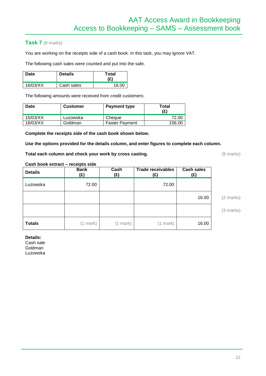#### **Task 7** (8 marks)

You are working on the receipts side of a cash book. In this task, you may ignore VAT.

The following cash sales were counted and put into the safe.

| Date     | <b>Details</b> | Total<br>(£) |
|----------|----------------|--------------|
| 16/03/XX | Cash sales     | 16.00        |

The following amounts were received from credit customers:

| Date     | <b>Customer</b> | <b>Payment type</b>   | Total<br>(£) |
|----------|-----------------|-----------------------|--------------|
| 15/03/XX | Luzowska        | Cheque                | 72.00        |
| 18/03/XX | Goldman         | <b>Faster Payment</b> | 156.00       |

**Complete the receipts side of the cash book shown below.** 

**Use the options provided for the details column, and enter figures to complete each column.**

**Total each column and check your work by cross casting. Conservation (8 marks)** (8 marks)

#### **Cash book extract – receipts side**

| <b>Details</b> | <b>Bank</b><br>(£) | Cash<br>(£) | <b>Trade receivables</b><br>(£) | <b>Cash sales</b><br>(E) |
|----------------|--------------------|-------------|---------------------------------|--------------------------|
| Luzowska       | 72.00              |             | 72.00                           |                          |
|                |                    |             |                                 | 16.00                    |
|                |                    |             |                                 |                          |
| <b>Totals</b>  | (1 mark)           | (1 mark)    | (1 mark)                        | 16.00                    |

#### **Details:**

Cash sale Goldman Luzowska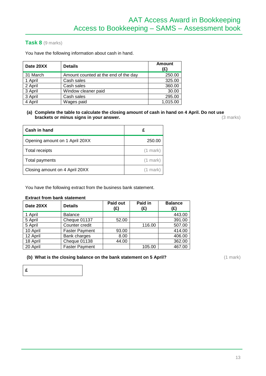#### **Task 8** (9 marks)

You have the following information about cash in hand.

| Date 20XX | <b>Details</b>                       | <b>Amount</b><br>(£) |
|-----------|--------------------------------------|----------------------|
| 31 March  | Amount counted at the end of the day | 250.00               |
| 1 April   | Cash sales                           | 325.00               |
| 2 April   | Cash sales                           | 360.00               |
| 3 April   | Window cleaner paid                  | 30.00                |
| 3 April   | Cash sales                           | 295.00               |
| 4 April   | Wages paid                           | 1,015.00             |

**(a) Complete the table to calculate the closing amount of cash in hand on 4 April. Do not use brackets or minus signs in your answer. brackets or minus signs in your answer.** (3 marks)

| Cash in hand                   |            |
|--------------------------------|------------|
| Opening amount on 1 April 20XX | 250.00     |
| <b>Total receipts</b>          | $(1$ mark) |
| Total payments                 | $(1$ mark) |
| Closing amount on 4 April 20XX | $(1$ mark) |

You have the following extract from the business bank statement.

#### **Extract from bank statement**

| Date 20XX | <b>Details</b>        | Paid out<br>(£) | Paid in<br>(£) | <b>Balance</b><br>(£) |
|-----------|-----------------------|-----------------|----------------|-----------------------|
| 1 April   | <b>Balance</b>        |                 |                | 443.00                |
| 5 April   | Cheque 01137          | 52.00           |                | 391.00                |
| 5 April   | Counter credit        |                 | 116.00         | 507.00                |
| 10 April  | <b>Faster Payment</b> | 93.00           |                | 414.00                |
| 12 April  | Bank charges          | 8.00            |                | 406.00                |
| 18 April  | Cheque 01138          | 44.00           |                | 362.00                |
| 20 April  | <b>Faster Payment</b> |                 | 105.00         | 467.00                |

#### **(b)** What is the closing balance on the bank statement on 5 April? (1 mark) (1 mark)

**£**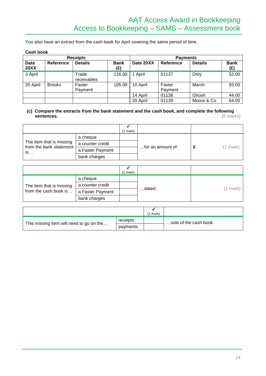You also have an extract from the cash book for April covering the same period of time.

#### **Cash book**

| <b>Receipts</b>            |               |                      | <b>Payments</b>    |           |                   |                |                    |
|----------------------------|---------------|----------------------|--------------------|-----------|-------------------|----------------|--------------------|
| <b>Date</b><br><b>20XX</b> | Reference     | <b>Details</b>       | <b>Bank</b><br>(£) | Date 20XX | Reference         | <b>Details</b> | <b>Bank</b><br>(£) |
| 3 April                    |               | Trade<br>receivables | 116.00             | April     | 01137             | Drey           | 52.00              |
| 20 April                   | <b>Brooks</b> | Faster<br>Payment    | 105.00             | 10 April  | Faster<br>Payment | Marsh          | 93.00              |
|                            |               |                      |                    | 14 April  | 01138             | Ghosh          | 44.00              |
|                            |               |                      |                    | 20 April  | 01139             | Moore & Co     | 64.00              |

#### **(c) Compare the extracts from the bank statement and the cash book, and complete the following sentences.** (5 marks)

|                                                     |                  | (1 mark) |                   |          |
|-----------------------------------------------------|------------------|----------|-------------------|----------|
|                                                     | a cheque         |          |                   |          |
| The item that is missing<br>from the bank statement | a counter credit |          | for an amount of: | (1 mark) |
| is                                                  | a Faster Payment |          |                   |          |
|                                                     | bank charges     |          |                   |          |

|                          |                  | $(1$ mark $)$ |        |            |
|--------------------------|------------------|---------------|--------|------------|
|                          | a cheque         |               |        |            |
| The item that is missing | a counter credit |               |        | $(1$ mark) |
| from the cash book is    | a Faster Payment |               | dated: |            |
|                          | bank charges     |               |        |            |

|                                          |          | mark) |                        |
|------------------------------------------|----------|-------|------------------------|
| This missing item will need to go on the | receipts |       | side of the cash book. |
|                                          | payments |       |                        |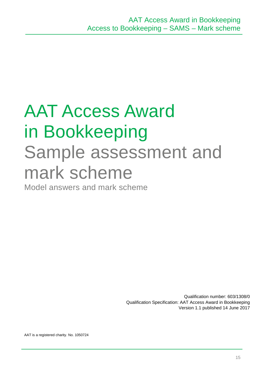## AAT Access Award in Bookkeeping Sample assessment and mark scheme

Model answers and mark scheme

Qualification number: 603/1308/0 Qualification Specification: AAT Access Award in Bookkeeping Version 1.1 published 14 June 2017

AAT is a registered charity. No. 1050724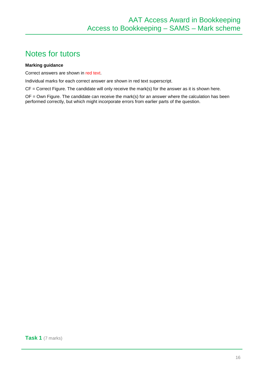## Notes for tutors

#### **Marking guidance**

Correct answers are shown in red text.

Individual marks for each correct answer are shown in red text superscript.

CF = Correct Figure. The candidate will only receive the mark(s) for the answer as it is shown here.

 $OF = Own$  Figure. The candidate can receive the mark(s) for an answer where the calculation has been performed correctly, but which might incorporate errors from earlier parts of the question.

**Task 1** (7 marks)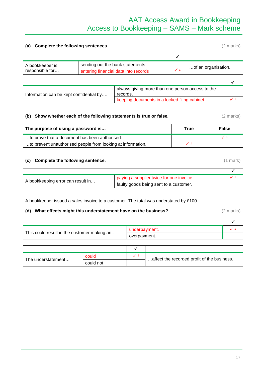### AAT Access Award in Bookkeeping Access to Bookkeeping – SAMS – Mark scheme

#### **(a) Complete the following sentences.** (2 marks)

 $\overline{\checkmark}$ A bookkeeper is responsible for… sending out the bank statements ... ... ... ... ... ... ... ... of an organisation.<br>
entering financial data into records  $\checkmark$ <sup>1</sup>

| Information can be kept confidential by | always giving more than one person access to the<br>records. |  |
|-----------------------------------------|--------------------------------------------------------------|--|
|                                         | keeping documents in a locked filing cabinet.                |  |

#### **(b) Show whether each of the following statements is true or false.** (2 marks)

| The purpose of using a password is                          | True | <b>False</b> |
|-------------------------------------------------------------|------|--------------|
| to prove that a document has been authorised.               |      |              |
| to prevent unauthorised people from looking at information. |      |              |

#### **(c) Complete the following sentence.** (1 mark)

|                                   | paying a supplier twice for one invoice. |  |
|-----------------------------------|------------------------------------------|--|
| A bookkeeping error can result in | faulty goods being sent to a customer.   |  |

A bookkeeper issued a sales invoice to a customer. The total was understated by £100.

#### **(d) What effects might this understatement have on the business?** (2 marks)

|                                             | underpayment. |  |
|---------------------------------------------|---------------|--|
| This could result in the customer making an | overpayment.  |  |

| The understatement | could     | affect the recorded profit of the business. |
|--------------------|-----------|---------------------------------------------|
|                    | could not |                                             |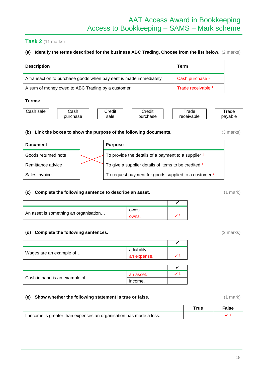#### **Task 2** (11 marks)

#### **(a) Identify the terms described for the business ABC Trading. Choose from the list below.** (2 marks)

| <b>Description</b>                                               | Term                       |
|------------------------------------------------------------------|----------------------------|
| A transaction to purchase goods when payment is made immediately | Cash purchase <sup>1</sup> |
| A sum of money owed to ABC Trading by a customer                 | Trade receivable 1         |

#### **Terms:**

| اash<br>sale | ટash     | <br>;redit | . .<br>Credit | rade       | rade    |
|--------------|----------|------------|---------------|------------|---------|
|              | purchase | sale       | purchase      | receivable | pavable |

#### **(b) Link the boxes to show the purpose of the following documents.** (3 marks)

| <b>Document</b>     | <b>Purpose</b>                                        |
|---------------------|-------------------------------------------------------|
| Goods returned note | To provide the details of a payment to a supplier 1   |
| Remittance advice   | To give a supplier details of items to be credited 1  |
| Sales invoice       | To request payment for goods supplied to a customer 1 |

#### **(c) Complete the following sentence to describe an asset.** (1 mark) (1 mark)

|                                       | owes. |  |
|---------------------------------------|-------|--|
| An asset is something an organisation | owns. |  |

#### **(d) Complete the following sentences.** (2 marks)

|                               | a liability |  |
|-------------------------------|-------------|--|
| Wages are an example of       | an expense. |  |
|                               |             |  |
|                               |             |  |
| Cash in hand is an example of | an asset.   |  |
|                               | income.     |  |

#### **(e)** Show whether the following statement is true or false. (1 mark)

|                                                                     | False |
|---------------------------------------------------------------------|-------|
| If income is greater than expenses an organisation has made a loss. |       |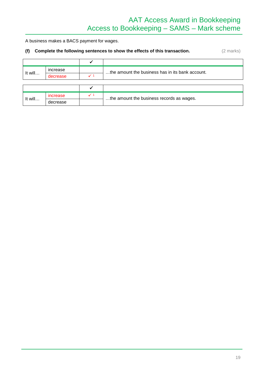## AAT Access Award in Bookkeeping Access to Bookkeeping – SAMS – Mark scheme

A business makes a BACS payment for wages.

#### **(f) Complete the following sentences to show the effects of this transaction.** (2 marks)

|         | increase | the amount the business has in its bank account. |
|---------|----------|--------------------------------------------------|
| It will | decrease |                                                  |

| It will |          | the amount the business records as wages. |
|---------|----------|-------------------------------------------|
|         | decrease |                                           |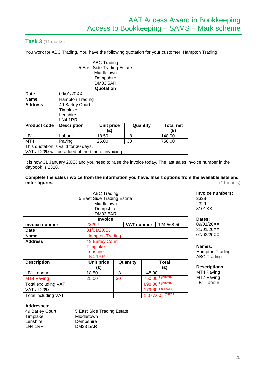#### **Task 3** (11 marks)

You work for ABC Trading. You have the following quotation for your customer, Hampton Trading.

| ABC Trading<br>5 East Side Trading Estate          |                                                                                       |                 |  |  |  |  |
|----------------------------------------------------|---------------------------------------------------------------------------------------|-----------------|--|--|--|--|
|                                                    |                                                                                       | Middletown      |  |  |  |  |
|                                                    |                                                                                       | Dempshire       |  |  |  |  |
|                                                    |                                                                                       | <b>DM33 5AR</b> |  |  |  |  |
|                                                    |                                                                                       | Quotation       |  |  |  |  |
| <b>Date</b>                                        | 09/01/20XX                                                                            |                 |  |  |  |  |
| <b>Name</b>                                        | Hampton Trading                                                                       |                 |  |  |  |  |
| <b>Address</b>                                     | 49 Barley Court                                                                       |                 |  |  |  |  |
|                                                    | Timplake                                                                              |                 |  |  |  |  |
|                                                    | Lenshire                                                                              |                 |  |  |  |  |
|                                                    | LN4 1RR                                                                               |                 |  |  |  |  |
| <b>Product code</b>                                | <b>Description</b><br><b>Unit price</b><br>Quantity<br><b>Total net</b><br>(£)<br>(£) |                 |  |  |  |  |
| LB <sub>1</sub>                                    | 8<br>18.50<br>148.00<br>Labour                                                        |                 |  |  |  |  |
| MT4                                                | 30<br>25.00<br>750.00<br>Paving                                                       |                 |  |  |  |  |
| This quotation is valid for 30 days.               |                                                                                       |                 |  |  |  |  |
| VAT at 20% will be added at the time of invoicing. |                                                                                       |                 |  |  |  |  |

It is now 31 January 20XX and you need to raise the invoice today. The last sales invoice number in the daybook is 2328.

#### **Complete the sales invoice from the information you have. Insert options from the available lists and**  enter figures.

| <b>ABC Trading</b>         |                                                |  |            |     |                               |
|----------------------------|------------------------------------------------|--|------------|-----|-------------------------------|
| 5 East Side Trading Estate |                                                |  |            |     |                               |
| Middletown                 |                                                |  |            |     |                               |
|                            | Dempshire                                      |  |            |     |                               |
|                            | <b>DM33 5AR</b>                                |  |            |     |                               |
|                            | <b>Invoice</b>                                 |  |            |     |                               |
| <b>Invoice number</b>      | 2329 1                                         |  | VAT number |     | 124 568 50                    |
| Date                       | 31/01/20XX <sup>1</sup>                        |  |            |     |                               |
| <b>Name</b>                | Hampton Trading <sup>1</sup>                   |  |            |     |                               |
| <b>Address</b>             | <b>49 Barley Court</b>                         |  |            |     |                               |
|                            | <b>Timplake</b>                                |  |            |     |                               |
|                            | Lenshire                                       |  |            |     |                               |
|                            | LN4 1RR 1                                      |  |            |     |                               |
| <b>Description</b>         | Quantity<br>Unit price<br>Total<br>(£)         |  |            | (£) |                               |
| LB1 Labour                 | 8<br>148.00<br>18.50                           |  |            |     |                               |
| MT4 Paving 1               | 750.00 1 (OF/CF)<br>30 <sup>1</sup><br>25.00 1 |  |            |     |                               |
| Total excluding VAT        | 898.00 1 (OF/CF)                               |  |            |     |                               |
| <b>VAT at 20%</b>          |                                                |  |            |     | 179.60 1 (OF/CF)              |
| <b>Total including VAT</b> |                                                |  |            |     | 1,077.60 <sup>1</sup> (OF/CF) |

**Invoice numbers:** 2328 2329 3101XX

**Dates:** 09/01/20XX 31/01/20XX 07/02/20XX

**Names:** Hampton Trading ABC Trading

**Descriptions:** MT4 Paving MT7 Paving LB1 Labour

#### **Addresses:**

| 49 Barley Court | 5 East Side Trading Estate |
|-----------------|----------------------------|
| Timplake        | Middletown                 |
| Lenshire        | Dempshire                  |
| LN4 1RR         | DM33 5AR                   |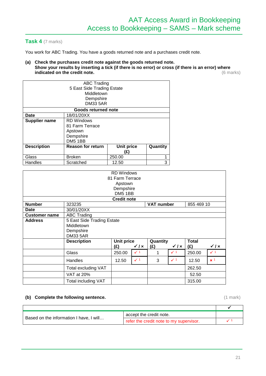#### **Task 4** (7 marks)

You work for ABC Trading. You have a goods returned note and a purchases credit note.

**(a) Check the purchases credit note against the goods returned note. Show your results by inserting a tick (if there is no error) or cross (if there is an error) where indicated on the credit note.** (6 marks)

| <b>ABC Trading</b>   |                                                           |        |   |  |  |  |
|----------------------|-----------------------------------------------------------|--------|---|--|--|--|
|                      | 5 East Side Trading Estate                                |        |   |  |  |  |
|                      | Middletown                                                |        |   |  |  |  |
|                      | Dempshire                                                 |        |   |  |  |  |
|                      | <b>DM33 5AR</b>                                           |        |   |  |  |  |
|                      | Goods returned note                                       |        |   |  |  |  |
| Date                 | 18/01/20XX                                                |        |   |  |  |  |
| <b>Supplier name</b> | <b>RD Windows</b>                                         |        |   |  |  |  |
| 81 Farm Terrace      |                                                           |        |   |  |  |  |
|                      | Apstown                                                   |        |   |  |  |  |
|                      | Dempshire                                                 |        |   |  |  |  |
| <b>DM5 1BB</b>       |                                                           |        |   |  |  |  |
| <b>Description</b>   | <b>Reason for return</b><br><b>Unit price</b><br>Quantity |        |   |  |  |  |
|                      | (£)                                                       |        |   |  |  |  |
| Glass                | <b>Broken</b>                                             | 250.00 | 1 |  |  |  |
| Handles              | Scratched                                                 | 12.50  | 3 |  |  |  |

| <b>RD Windows</b><br>81 Farm Terrace |                            |                    |                |            |                |              |                |  |
|--------------------------------------|----------------------------|--------------------|----------------|------------|----------------|--------------|----------------|--|
|                                      | Apstown                    |                    |                |            |                |              |                |  |
|                                      |                            | Dempshire          |                |            |                |              |                |  |
|                                      |                            | DM5 1BB            |                |            |                |              |                |  |
|                                      |                            | <b>Credit note</b> |                |            |                |              |                |  |
| <b>Number</b>                        | 323235                     |                    |                | VAT number |                | 855 469 10   |                |  |
| <b>Date</b>                          | 30/01/20XX                 |                    |                |            |                |              |                |  |
| <b>Customer name</b>                 | <b>ABC Trading</b>         |                    |                |            |                |              |                |  |
| <b>Address</b>                       | 5 East Side Trading Estate |                    |                |            |                |              |                |  |
|                                      | Middletown                 |                    |                |            |                |              |                |  |
|                                      | Dempshire                  |                    |                |            |                |              |                |  |
|                                      | <b>DM33 5AR</b>            |                    |                |            |                |              |                |  |
|                                      | <b>Description</b>         | <b>Unit price</b>  |                | Quantity   |                | <b>Total</b> |                |  |
|                                      |                            | (£)                | $\sqrt{1}x$    | (E)        | $\sqrt{1}x$    | (E)          | $\sqrt{1}x$    |  |
|                                      | Glass                      | 250.00             | $\checkmark$ 1 | 1          | $\checkmark$ 1 | 250.00       | $\checkmark$ 1 |  |
|                                      | Handles                    | 12.50              | $\checkmark$ 1 | 3          | $\checkmark$ 1 | 12.50        | $\times$ 1     |  |
|                                      | Total excluding VAT        |                    |                |            |                | 262.50       |                |  |
|                                      | VAT at 20%                 |                    |                |            |                | 52.50        |                |  |
|                                      | <b>Total including VAT</b> |                    |                |            |                | 315.00       |                |  |

#### **(b) Complete the following sentence.** (1 mark)

 $\Gamma$ 

 $\overline{\phantom{a}}$ 

┓

┑

| Based on the information I have, I will | accept the credit note.                 |  |
|-----------------------------------------|-----------------------------------------|--|
|                                         | refer the credit note to my supervisor. |  |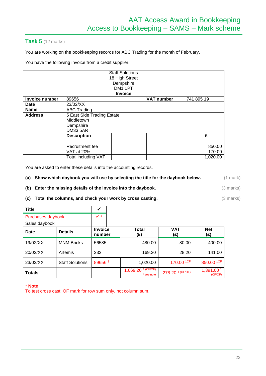#### **Task 5** (12 marks)

You are working on the bookkeeping records for ABC Trading for the month of February.

You have the following invoice from a credit supplier.

|                |                            | <b>Staff Solutions</b> |                   |            |  |  |  |
|----------------|----------------------------|------------------------|-------------------|------------|--|--|--|
|                | 18 High Street             |                        |                   |            |  |  |  |
|                |                            | Dempshire              |                   |            |  |  |  |
|                |                            | DM1 1PT                |                   |            |  |  |  |
|                |                            | <b>Invoice</b>         |                   |            |  |  |  |
| Invoice number | 89656                      |                        | <b>VAT number</b> | 741 895 19 |  |  |  |
| <b>Date</b>    | 23/02/XX                   |                        |                   |            |  |  |  |
| <b>Name</b>    | <b>ABC Trading</b>         |                        |                   |            |  |  |  |
| <b>Address</b> | 5 East Side Trading Estate |                        |                   |            |  |  |  |
|                | Middletown                 |                        |                   |            |  |  |  |
|                | Dempshire                  |                        |                   |            |  |  |  |
|                | <b>DM33 5AR</b>            |                        |                   |            |  |  |  |
|                | <b>Description</b>         |                        |                   | £          |  |  |  |
|                |                            |                        |                   |            |  |  |  |
|                | Recruitment fee            |                        |                   | 850.00     |  |  |  |
|                | VAT at 20%                 |                        |                   | 170.00     |  |  |  |
|                | <b>Total including VAT</b> |                        |                   | 1,020.00   |  |  |  |

You are asked to enter these details into the accounting records.

| (a) Show which daybook you will use by selecting the title for the daybook below. | (1 mark) |
|-----------------------------------------------------------------------------------|----------|
|                                                                                   |          |

- **(b) Enter the missing details of the invoice into the daybook.** (3 marks)
- **(c) Total the columns, and check your work by cross casting. (3 marks) (3 marks)**

| <b>Title</b>      |                        | ✓                        |                                               |                       |                       |
|-------------------|------------------------|--------------------------|-----------------------------------------------|-----------------------|-----------------------|
| Purchases daybook |                        | $\checkmark$ 1           |                                               |                       |                       |
| Sales daybook     |                        |                          |                                               |                       |                       |
| Date              | <b>Details</b>         | <b>Invoice</b><br>number | <b>Total</b><br>(£)                           | <b>VAT</b><br>(£)     | <b>Net</b><br>(E)     |
| 19/02/XX          | <b>MNM Bricks</b>      | 56585                    | 480.00                                        | 80.00                 | 400.00                |
| 20/02/XX          | Artemis                | 232                      | 169.20                                        | 28.20                 | 141.00                |
| 23/02/XX          | <b>Staff Solutions</b> | 896561                   | 1,020.00                                      | 170.00 <sup>1CF</sup> | 850.00 1CF            |
| <b>Totals</b>     |                        |                          | $1,669.20$ <sup>1</sup> (CF/OF)<br>* see note | 278.20 1 (CF/OF)      | 1,391.00 1<br>(CF/OF) |

\* **Note**

To test cross cast, OF mark for row sum only, not column sum.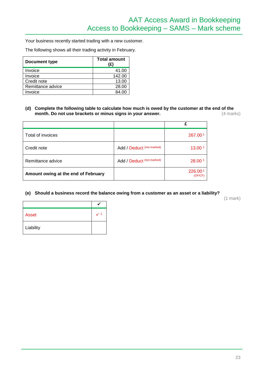Your business recently started trading with a new customer.

The following shows all their trading activity in February.

| <b>Document type</b> | <b>Total amount</b><br>(£) |
|----------------------|----------------------------|
| Invoice              | 41.00                      |
| Invoice              | 142.00                     |
| Credit note          | 13.00                      |
| Remittance advice    | 28.00                      |
| Invoice              | 84.00                      |

#### **(d) Complete the following table to calculate how much is owed by the customer at the end of the month. Do not use brackets or minus signs in your answer.** (4 marks)

|                                     |                           | £                  |
|-------------------------------------|---------------------------|--------------------|
| Total of invoices                   |                           | 267.001            |
| Credit note                         | Add / Deduct (not marked) | 13.00 <sup>1</sup> |
| Remittance advice                   | Add / Deduct (not marked) | 28.00 <sup>1</sup> |
| Amount owing at the end of February |                           | 226.001<br>(OF/CF) |

#### **(e) Should a business record the balance owing from a customer as an asset or a liability?**

(1 mark)

| <b>Asset</b> |  |
|--------------|--|
| Liability    |  |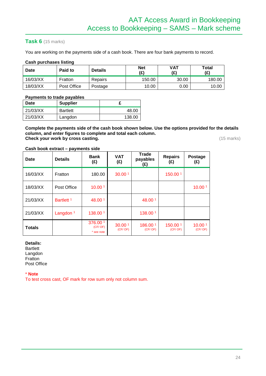#### **Task 6** (15 marks)

You are working on the payments side of a cash book. There are four bank payments to record.

#### **Cash purchases listing**

| <b>Date</b> | Paid to     | <b>Net</b><br><b>Details</b><br>(£) |        | VAT<br>(£) | Total<br>(£) |
|-------------|-------------|-------------------------------------|--------|------------|--------------|
| 16/03/XX    | Fratton     | Repairs                             | 150.00 | 30.00      | 180.00       |
| 18/03/XX    | Post Office | Postage                             | 10.00  | 0.00       | 10.00        |

#### **Payments to trade payables**

| <b>Date</b> | <b>Supplier</b> |        |
|-------------|-----------------|--------|
| 21/03/XX    | <b>Bartlett</b> | 48.00  |
| 21/03/XX    | Langdon         | 138.00 |

**Complete the payments side of the cash book shown below. Use the options provided for the details column, and enter figures to complete and total each column. Check your work by cross casting.** (15 marks)

#### **Cash book extract – payments side**

| Date          | <b>Details</b>        | <b>Bank</b><br>(£)                | <b>VAT</b><br>(f)             | <b>Trade</b><br>payables<br>(E) | <b>Repairs</b><br>(£) | <b>Postage</b><br>(E)         |
|---------------|-----------------------|-----------------------------------|-------------------------------|---------------------------------|-----------------------|-------------------------------|
| 16/03/XX      | Fratton               | 180.00                            | 30.00 1                       |                                 | 150.00 1              |                               |
| 18/03/XX      | Post Office           | 10.001                            |                               |                                 |                       | 10.001                        |
| 21/03/XX      | Bartlett <sup>1</sup> | 48.00 1                           |                               | 48.00 1                         |                       |                               |
| 21/03/XX      | Langdon $1$           | 138.00 1                          |                               | 138.001                         |                       |                               |
| <b>Totals</b> |                       | 376.00 1<br>(CF/OF)<br>* see note | 30.00 <sup>1</sup><br>(CF/OF) | 186.001<br>(CF/OF)              | 150.00 1<br>(CF/OF)   | 10.00 <sup>1</sup><br>(CF/OF) |

#### **Details:**

**Bartlett** Langdon Fratton Post Office

\* **Note**

To test cross cast, OF mark for row sum only not column sum.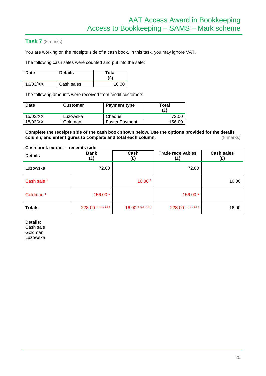#### **Task 7** (8 marks)

You are working on the receipts side of a cash book. In this task, you may ignore VAT.

The following cash sales were counted and put into the safe:

| Date     | <b>Details</b> | Total<br>(£) |
|----------|----------------|--------------|
| 16/03/XX | Cash sales     | 16.00        |

The following amounts were received from credit customers:

| Date     | <b>Customer</b> | <b>Payment type</b>   | Total<br>(£) |  |
|----------|-----------------|-----------------------|--------------|--|
| 15/03/XX | Luzowska        | Cheque                | 72.00        |  |
| 18/03/XX | Goldman         | <b>Faster Payment</b> | 156.00       |  |

**Complete the receipts side of the cash book shown below. Use the options provided for the details**  column, and enter figures to complete and total each column.

#### **Cash book extract – receipts side**

| <b>Details</b>       | <b>Bank</b><br>(£) | Cash<br>(£)                   | <b>Trade receivables</b><br>(£) | <b>Cash sales</b><br>(£) |
|----------------------|--------------------|-------------------------------|---------------------------------|--------------------------|
| Luzowska             | 72.00              |                               | 72.00                           |                          |
| Cash sale 1          |                    | 16.00 1                       |                                 | 16.00                    |
| Goldman <sup>1</sup> | 156.00 1           |                               | 156.00 1                        |                          |
| <b>Totals</b>        | 228.00 1 (CF/ OF)  | $16.00$ <sup>1</sup> (CF/ OF) | 228.00 1 (CF/ OF)               | 16.00                    |

**Details:**

Cash sale Goldman Luzowska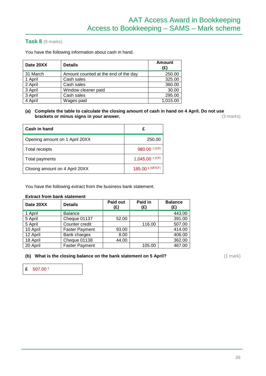#### **Task 8** (9 marks)

You have the following information about cash in hand.

| Date 20XX | <b>Details</b>                       | <b>Amount</b><br>(£) |
|-----------|--------------------------------------|----------------------|
| 31 March  | Amount counted at the end of the day | 250.00               |
| 1 April   | Cash sales                           | 325.00               |
| 2 April   | Cash sales                           | 360.00               |
| 3 April   | Window cleaner paid                  | 30.00                |
| 3 April   | Cash sales                           | 295.00               |
| 4 April   | Wages paid                           | 1,015.00             |

**(a) Complete the table to calculate the closing amount of cash in hand on 4 April. Do not use**  brackets or minus signs in your answer.

| Cash in hand                   | £                                         |
|--------------------------------|-------------------------------------------|
| Opening amount on 1 April 20XX | 250.00                                    |
| <b>Total receipts</b>          | 980.00 <sup>1 (CF)</sup>                  |
| Total payments                 | $1,045.00$ <sup><math>1</math> (CF)</sup> |
| Closing amount on 4 April 20XX | 185.00 <sup>1 (OF/CF)</sup>               |

You have the following extract from the business bank statement.

#### **Extract from bank statement**

| Date 20XX | <b>Details</b>        | Paid out<br>(£) | Paid in<br>(£) | <b>Balance</b><br>(£) |
|-----------|-----------------------|-----------------|----------------|-----------------------|
| 1 April   | <b>Balance</b>        |                 |                | 443.00                |
| 5 April   | Cheque 01137          | 52.00           |                | 391.00                |
| 5 April   | Counter credit        |                 | 116.00         | 507.00                |
| 10 April  | <b>Faster Payment</b> | 93.00           |                | 414.00                |
| 12 April  | Bank charges          | 8.00            |                | 406.00                |
| 18 April  | Cheque 01138          | 44.00           |                | 362.00                |
| 20 April  | <b>Faster Payment</b> |                 | 105.00         | 467.00                |

**(b)** What is the closing balance on the bank statement on 5 April? (1 mark) (1 mark)

**£** 507.00 1